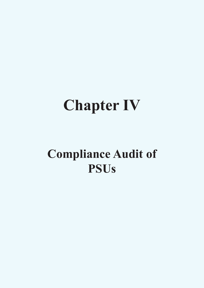# **Chapter IV**

# **Compliance Audit of PSUs**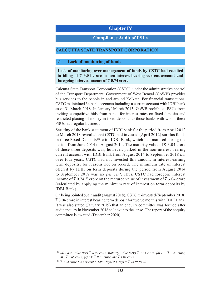### **Chapter IV**

#### **Compliance Audit of PSUs**

#### **CALCUTTA STATE TRANSPORT CORPORATION**

#### **4.1 Lack of monitoring of funds**

**Lack of monitoring over management of funds by CSTC had resulted**  in idling of  $\bar{\tau}$  3.04 crore in non-interest bearing current account and **foregoing interest income of**  $\bar{\tau}$  **0.74 crore.** 

Calcutta State Transport Corporation (CSTC), under the administrative control of the Transport Department, Government of West Bengal (GoWB) provides bus services to the people in and around Kolkata. For financial transactions, CSTC maintained 34 bank accounts including a current account with IDBI bank as of 31 March 2018. In January/ March 2013, GoWB prohibited PSUs from inviting competitive bids from banks for interest rates on fixed deposits and restricted placing of money in fixed deposits to those banks with whom these PSUs had regular business.

Scrutiny of the bank statement of IDBI bank for the period from April 2012 to March 2018 revealed that CSTC had invested (April 2012) surplus funds in three Fixed Deposits<sup>185</sup> with IDBI Bank, which had matured during the period from June 2014 to August 2014. The maturity value of  $\bar{\tau}$  3.04 crore of these three deposits was, however, parked in the non-interest bearing current account with IDBI Bank from August 2014 to September 2018 *i.e.* over four years. CSTC had not invested this amount in interest earning term deposits, for reasons not on record. The minimum rate of interest offered by IDBI on term deposits during the period from August 2014 to September 2018 was six *per cent*. Thus, CSTC had foregone interest income of  $\bar{\mathfrak{c}}$  0.74<sup>186</sup> crore on the matured value of investment of  $\bar{\mathfrak{c}}$  3.04 crore (calculated by applying the minimum rate of interest on term deposits by IDBI Bank).

On being pointed out in audit (August 2018), CSTC re-invested (September 2018)  $\bar{\tau}$  3.04 crore in interest bearing term deposit for twelve months with IDBI Bank. It was also stated (January 2019) that an enquiry committee was formed after audit enquiry in November 2018 to look into the lapse. The report of the enquiry committee is awaited (December 2020).

<sup>&</sup>lt;sup>185</sup> (a) Face Value (FV)  $\bar{\zeta}$  0.90 crore Maturity Value (MV)  $\bar{\zeta}$  1.35 crore, (b) FV  $\bar{\zeta}$  0.43 crore,  $MV\bar{z}$  0.65 *crore, (c) FV*  $\bar{z}$  0.71 *crore, MV* $\bar{z}$  1.04 *crore.* 

 $^{186}$   $\bar{\xi}$  3.04 *crore X 6 per cent X 1482 days/365 days* =  $\bar{\xi}$  74,05,940/-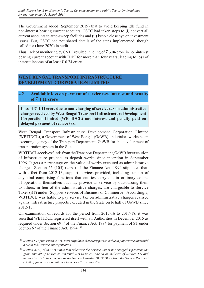The Government added (September 2019) that to avoid keeping idle fund in non-interest bearing current accounts, CSTC had taken steps to **(i)** convert all current accounts to auto-sweep facilities and **(ii)** keep a close eye on investment issues. But, CSTC had not shared details of the steps implemented, though called for (June 2020) in audit.

Thus, lack of monitoring by CSTC resulted in idling of  $\bar{\tau}$  3.04 crore in non-interest bearing current account with IDBI for more than four years, leading to loss of interest income of at least  $\bar{\xi}$  0.74 crore.

### **WEST BENGAL TRANSPORT INFRASTRUCTURE DEVELOPMENT CORPORATION LIMITED**

**4.2****Avoidable loss on payment of service tax, interest and penalty of ₹ 1.11 crore** 

Loss of  $\bar{\tau}$  1.11 crore due to non-charging of service tax on administrative **charges received by West Bengal Transport Infrastructure Development Corporation Limited (WBTIDCL) and interest and penalty paid on delayed payment of service tax.**

West Bengal Transport Infrastructure Development Corporation Limited (WBTIDCL), a Government of West Bengal (GoWB) undertakes works as an executing agency of the Transport Department, GoWB for the development of transportation system in the State.

WBTIDCL receives funds from the Transport Department, GoWB for execution of infrastructure projects as deposit works since inception in September 1996. It gets a percentage on the value of works executed as administrative charges. Section 65 (105) (zzzq) of the Finance Act, 1994 stipulates that, with effect from 2012-13, support services provided, including support of any kind comprising functions that entities carry out in ordinary course of operations themselves but may provide as service by outsourcing them to others, in lieu of the administrative charges, are chargeable to Service Taxes (ST) under 'Support Services of Business or Commerce'. Accordingly, WBTIDCL was liable to pay service tax on administrative charges realised against infrastructure projects executed in the State on behalf of GoWB since 2012-13.

On examination of records for the period from 2015-16 to 2017-18, it was seen that WBTIDCL registered itself with ST Authorities in December 2015 as required under Section 69187 of the Finance Act, 1994 for payment of ST under Section 67 of the Finance Act, 1994.<sup>188</sup>

<sup>187</sup> *Section 69 of the Finance Act, 1994 stipulates that every person liable to pay service tax would have to take service tax registration.*

<sup>188</sup> *Section 67(2) of the Act states that wherever the Service Tax is not charged separately, the gross amount of service so rendered was to be considered as inclusive of Service Tax and Service Tax is to be collected by the Service Provider (WBTIDCL) from the Service Recipient (GoWB) for onward remittance to Service Tax Authorities.*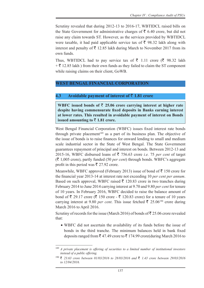Scrutiny revealed that during 2012-13 to 2016-17, WBTIDCL raised bills on the State Government for administrative charges of  $\bar{\tau}$  6.40 crore, but did not raise any claim towards ST. However, as the services provided by WBTIDCL were taxable, it had paid applicable service tax of  $\bar{\tau}$  98.32 lakh along with interest and penalty of  $\bar{\tau}$  12.85 lakh during March to November 2017 from its own funds.

Thus, WBTIDCL had to pay service tax of  $\bar{\xi}$  1.11 crore ( $\bar{\xi}$  98.32 lakh  $+\bar{\xi}$  12.85 lakh) from their own funds as they failed to claim the ST component while raising claims on their client, GoWB.

# **WEST BENGAL FINANCIAL CORPORATION**

# **4.3 Avoidable payment of interest of** ` **1.81 crore**

WBFC issued bonds of  $\bar{\tau}$  25.06 crore carrying interest at higher rate **despite having commensurate fixed deposits in Banks earning interest at lower rates. This resulted in avoidable payment of interest on Bonds issued amounting to**  $\bar{\tau}$  **1.81 crore.** 

West Bengal Financial Corporation (WBFC) issues fixed interest rate bonds through private placement<sup>189</sup> as a part of its business plan. The objective of the issue of bonds is to raise finances for onward lending to small and medium scale industrial sector in the State of West Bengal. The State Government guarantees repayment of principal and interest on bonds. Between 2012-13 and 2015-16, WBFC disbursed loans of  $\bar{\tau}$  756.63 crore *i.e.* 75 *per cent* of target  $(\bar{\mathcal{F}} 1,005$  crore), partly funded (50 *per cent*) through bonds. WBFC's aggregate profit in this period was  $\bar{\tau}$  27.92 crore.

Meanwhile, WBFC approved (February 2013) issue of bond of  $\bar{z}$  150 crore for the financial year 2013-14 at interest rate not exceeding 10 *per cent per annum*. Based on such approval, WBFC raised  $\bar{\tau}$  120.83 crore in two tranches during February 2014 to June 2014 carrying interest at 9.70 and 9.80 *per cent* for tenure of 10 years. In February 2016, WBFC decided to raise the balance amount of bond of  $\bar{\xi}$  29.17 crore ( $\bar{\xi}$  150 crore -  $\bar{\xi}$  120.83 crore) for a tenure of 10 years carrying interest at 9.80 *per cent*. This issue fetched  $\bar{\xi}$  25.06<sup>190</sup> crore during March 2016 to April 2016.

Scrutiny of records for the issue (March 2016) of bonds of  $\bar{\mathfrak{g}}$  25.06 crore revealed that:

• WBFC did not ascertain the availability of its funds before the issue of bonds in the third tranche. The minimum balances held in bank fixed deposits ranged from  $\bar{\xi}$  47.49 crore to  $\bar{\xi}$  174.99 crore(during March 2016 to

<sup>189</sup> *A private placement is offering of securities to a limited number of institutional investors instead of a public offering.*

<sup>190</sup> ` *23.63 crore between 01/03/2016 to 28/03/2016 and* ` *1.43 crore between 29/03/2016 to 12/04/2016.*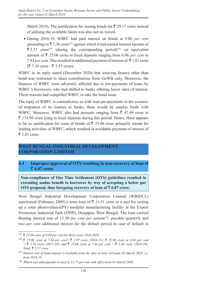March 2019). The justification for issuing bonds for  $\bar{\tau}$  29.17 crore instead of utilising the available funds was also not on record.

• During 2016-19, WBFC had paid interest on bonds at 9.80 *per cent*  amounting to  $\bar{\tau}$  7.38 crore<sup>191</sup> against which it had earned interest income of  $\bar{\xi}$  5.57 crore<sup>192</sup> (during the corresponding period)<sup>193</sup> on equivalent amount of  $\bar{\tau}$  25.06 crore in fixed deposits ranging from 6.96 *per cent* to 7.84 *per cent*. This resulted in additional payment of interest of  $\bar{\tau}$  1.81 crore  $({\bar{\mathfrak{F}}} 7.38$  crore -  ${\bar{\mathfrak{F}}} 5.57$  crore).

WBFC in its reply stated (December 2020) that sourcing finance other than bond was restricted to share contributions from GoWB only. Moreover, the finances of WBFC were adversely affected due to pre-payments of loans by WBFC's borrowers, who had shifted to banks offering lower rates of interest. These reasons had compelled WBFC to take the bond issue.

The reply of WBFC is contradictory as with loan pre-payments in the scenario of migration of its loanees to banks, there would be surplus funds with WBFC. Moreover, WBFC also had amounts ranging from  $\bar{\tau}$  47.49 crore to  $\bar{\tau}$  174.99 crore lying in fixed deposits during this period. Hence, there appears to be no justification for issue of bonds of  $\bar{\tau}$  25.06 crore primarily meant for lending activities of WBFC, which resulted in avoidable payment of interest of  $\bar{z}$  1.81 crore.

# **WEST BENGAL INDUSTRIAL DEVELOPMENT CORPORATION LIMITED**

#### **4.4 Improper approval of OTS resulting in non-recovery of loan of** ` **6.87 crore**

**Non-compliance of One Time Settlement (OTS) guidelines resulted in extending undue benefit to borrower by way of accepting a below par**  OTS proposal, thus foregoing recovery of loan of  $\bar{e}$  6.87 crore.

West Bengal Industrial Development Corporation Limited (WBIDCL) sanctioned (February 2009) a term loan of  $\bar{\tau}$  11.51 crore to a unit for setting up a solar photovoltaics(PV) modules manufacturing facility at the Export Promotion Industrial Park (EPIP), Durgapur, West Bengal. The loan carried floating interest rate of 13.50 *per cent per annum*<sup>194</sup>*,* payable quarterly and two *per cent* additional interest for the default period in case of default in

<sup>&</sup>lt;sup>191</sup> ₹ 25.06 *crore at 9.80 per cent for three years 2016-2019*.

<sup>192</sup> ` *25.06 crore at 7.84 per cent=* ` *1.97 crore (2016-17);* ` *25.06 crore at 6.96 per cent*   $=$  ₹ 1.74 *crore (2017-18); and* ₹ 25.06 *crore at 7.44 per cent* = ₹ 1.86 *crore (2018-19); Total:* ₹ 5.57 *crore.* 

<sup>193</sup> *Interest rate of bank deposit is available from the date of issue of bonds till March 2019, i.e. from 2016-19.*

<sup>194</sup> *Which was subsequently revised to 12.75 per cent with effect from 01 March 2009.*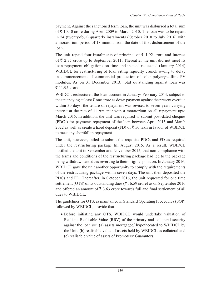payment. Against the sanctioned term loan, the unit was disbursed a total sum of  $\bar{\tau}$  10.40 crore during April 2009 to March 2010. The loan was to be repaid in 24 (twenty-four) quarterly instalments (October 2010 to July 2016) with a moratorium period of 18 months from the date of first disbursement of the loan.

The unit repaid four instalments of principal of  $\bar{\tau}$  1.92 crore and interest of  $\bar{\xi}$  2.35 crore up to September 2011. Thereafter the unit did not meet its loan repayment obligations on time and instead requested (January 2014) WBIDCL for restructuring of loan citing liquidity crunch owing to delay in commencement of commercial production of solar polycrystalline PV modules. As on 31 December 2013, total outstanding against loan was  $\bar{z}$  11.95 crore.

WBIDCL restructured the loan account in January/ February 2014, subject to the unit paying at least  $\bar{\tau}$  one crore as down payment against the present overdue within 30 days, the tenure of repayment was revised to seven years carrying interest at the rate of 11 *per cent* with a moratorium on all repayment upto March 2015. In addition, the unit was required to submit post-dated cheques (PDCs) for payment/ repayment of the loan between April 2015 and March 2022 as well as create a fixed deposit (FD) of  $\overline{\xi}$  50 lakh in favour of WBIDCL to meet any shortfall in repayment.

The unit, however, failed to submit the requisite PDCs and FD as required under the restructuring package till August 2015. As a result, WBIDCL notified the unit in September and November 2015, that non-compliance with the terms and conditions of the restructuring package had led to the package being withdrawn and dues reverting to their original position. In January 2016, WBIDCL gave the unit another opportunity to comply with the requirements of the restructuring package within seven days. The unit then deposited the PDCs and FD. Thereafter, in October 2016, the unit requested for one time settlement (OTS) of its outstanding dues ( $\bar{\tau}$  16.59 crore) as on September 2016 and offered an amount of  $\bar{\bar{\xi}}$  3.63 crore towards full and final settlement of all dues to WBIDCL.

The guidelines for OTS, as maintained in Standard Operating Procedures (SOP) followed by WBIDCL, provide that:

 • Before initiating any OTS, WBIDCL would undertake valuation of Realistic Realisable Value (RRV) of the primary and collateral security against the loan *viz*. (a) assets mortgaged/ hypothecated to WBIDCL by the Unit, (b) realisable value of assets held by WBIDCL as collateral and (c) realisable value of assets of Promoters/ Guarantors.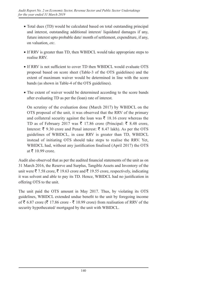- Total dues (TD) would be calculated based on total outstanding principal and interest, outstanding additional interest/ liquidated damages if any, future interest upto probable date/ month of settlement, expenditure, if any, on valuation, *etc*.
- If RRV is greater than TD, then WBIDCL would take appropriate steps to realise RRV.
- If RRV is not sufficient to cover TD then WBIDCL would evaluate OTS proposal based on score sheet (Table-3 of the OTS guidelines) and the extent of maximum waiver would be determined in line with the score bands (as shown in Table-4 of the OTS guidelines).
- The extent of waiver would be determined according to the score bands after evaluating TD as per the (loan) rate of interest.

 On scrutiny of the evaluation done (March 2017) by WBIDCL on the OTS proposal of the unit, it was observed that the RRV of the primary and collateral security against the loan was  $\bar{\tau}$  18.16 crore whereas the TD as of February 2017 was  $\bar{\xi}$  17.86 crore (Principal:  $\bar{\xi}$  8.48 crore, Interest:  $\bar{\xi}$  9.30 crore and Penal interest:  $\bar{\xi}$  8.47 lakh). As per the OTS guidelines of WBIDCL, in case RRV is greater than TD, WBIDCL instead of initiating OTS should take steps to realise the RRV. Yet, WBIDCL had, without any justification finalised (April 2017) the OTS at  $\bar{\tau}$  10.99 crore.

Audit also observed that as per the audited financial statements of the unit as on 31 March 2016, the Reserve and Surplus, Tangible Assets and Inventory of the unit were  $\bar{\xi}$  7.58 crore,  $\bar{\xi}$  19.63 crore and  $\bar{\xi}$  19.55 crore, respectively, indicating it was solvent and able to pay its TD. Hence, WBIDCL had no justification in offering OTS to the unit.

The unit paid the OTS amount in May 2017. Thus, by violating its OTS guidelines, WBIDCL extended undue benefit to the unit by foregoing income of  $\bar{\xi}$  6.87 crore ( $\bar{\xi}$  17.86 crore -  $\bar{\xi}$  10.99 crore) from realisation of RRV of the security hypothecated/ mortgaged by the unit with WBIDCL.